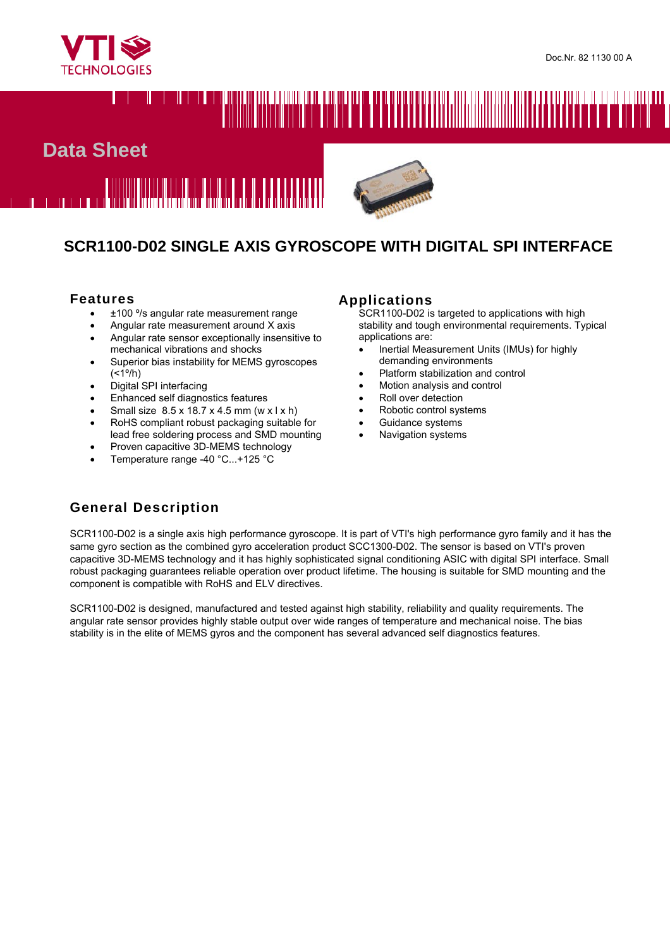

# 

# **Data Sheet**





# **SCR1100-D02 SINGLE AXIS GYROSCOPE WITH DIGITAL SPI INTERFACE**

## **Features**

- ±100 º/s angular rate measurement range
- Angular rate measurement around X axis
- Angular rate sensor exceptionally insensitive to mechanical vibrations and shocks
- Superior bias instability for MEMS gyroscopes  $(<1°/h)$
- Digital SPI interfacing
- Enhanced self diagnostics features
- Small size 8.5 x 18.7 x 4.5 mm (w x l x h)
- RoHS compliant robust packaging suitable for lead free soldering process and SMD mounting
- Proven capacitive 3D-MEMS technology
- Temperature range -40 °C...+125 °C

#### **Applications**

SCR1100-D02 is targeted to applications with high stability and tough environmental requirements. Typical applications are:

- Inertial Measurement Units (IMUs) for highly demanding environments
- Platform stabilization and control
- Motion analysis and control
- Roll over detection
- Robotic control systems
- Guidance systems
- Navigation systems

# **General Description**

SCR1100-D02 is a single axis high performance gyroscope. It is part of VTI's high performance gyro family and it has the same gyro section as the combined gyro acceleration product SCC1300-D02. The sensor is based on VTI's proven capacitive 3D-MEMS technology and it has highly sophisticated signal conditioning ASIC with digital SPI interface. Small robust packaging guarantees reliable operation over product lifetime. The housing is suitable for SMD mounting and the component is compatible with RoHS and ELV directives.

SCR1100-D02 is designed, manufactured and tested against high stability, reliability and quality requirements. The angular rate sensor provides highly stable output over wide ranges of temperature and mechanical noise. The bias stability is in the elite of MEMS gyros and the component has several advanced self diagnostics features.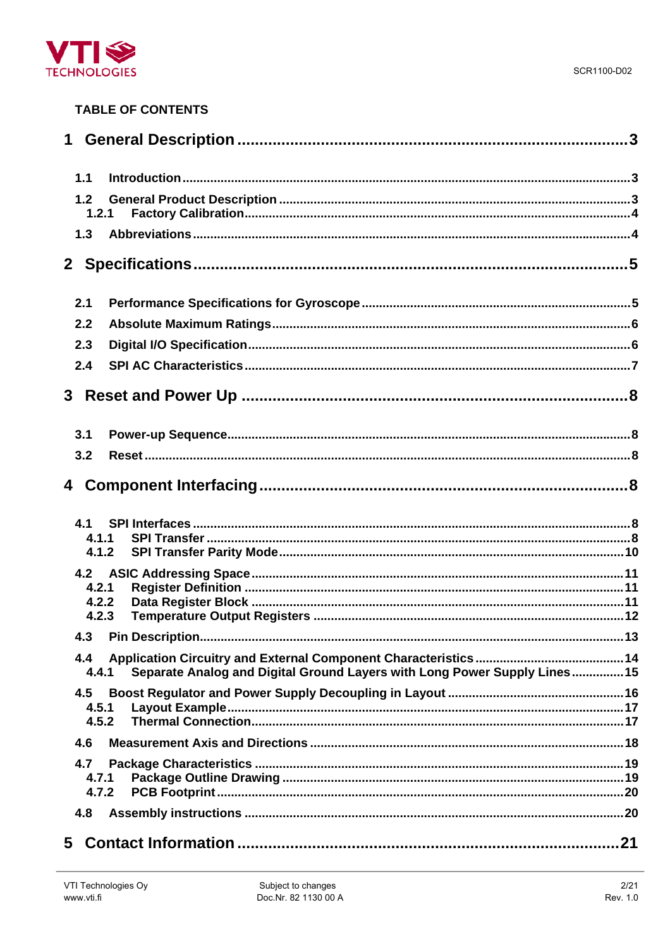

# **TABLE OF CONTENTS**

| 1.1                     |                                                                          |  |
|-------------------------|--------------------------------------------------------------------------|--|
| 1.2<br>1.2.1            |                                                                          |  |
| 1.3                     |                                                                          |  |
|                         |                                                                          |  |
| 2.1                     |                                                                          |  |
| 2.2                     |                                                                          |  |
| 2.3                     |                                                                          |  |
| 2.4                     |                                                                          |  |
|                         |                                                                          |  |
| 3.1                     |                                                                          |  |
| 3.2                     |                                                                          |  |
|                         |                                                                          |  |
| 4.1<br>4.1.1<br>4.1.2   |                                                                          |  |
| 4.2.1<br>4.2.2<br>4.2.3 |                                                                          |  |
|                         |                                                                          |  |
| 4.4<br>4.4.1            | Separate Analog and Digital Ground Layers with Long Power Supply Lines15 |  |
| 4.5<br>4.5.1<br>4.5.2   |                                                                          |  |
| 4.6                     |                                                                          |  |
| 4.7<br>4.7.1<br>4.7.2   |                                                                          |  |
| 4.8                     |                                                                          |  |
|                         |                                                                          |  |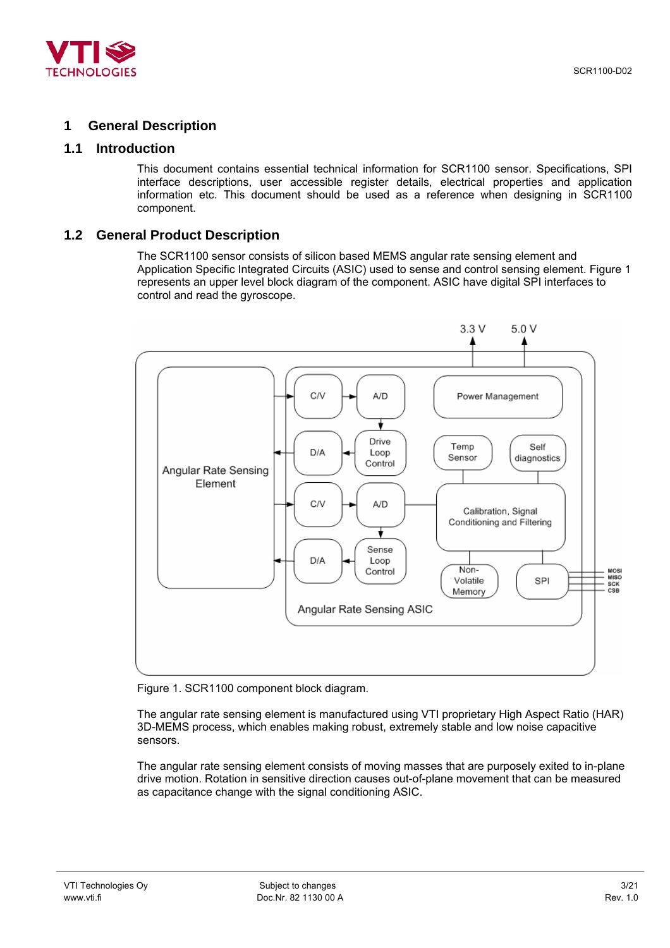<span id="page-2-0"></span>

# **1 General Description**

## **1.1 Introduction**

This document contains essential technical information for SCR1100 sensor. Specifications, SPI interface descriptions, user accessible register details, electrical properties and application information etc. This document should be used as a reference when designing in SCR1100 component.

## **1.2 General Product Description**

The SCR1100 sensor consists of silicon based MEMS angular rate sensing element and Application Specific Integrated Circuits (ASIC) used to sense and control sensing element. [Figure 1](#page-2-1)  represents an upper level block diagram of the component. ASIC have digital SPI interfaces to control and read the gyroscope.

<span id="page-2-1"></span>

Figure 1. SCR1100 component block diagram.

The angular rate sensing element is manufactured using VTI proprietary High Aspect Ratio (HAR) 3D-MEMS process, which enables making robust, extremely stable and low noise capacitive sensors.

The angular rate sensing element consists of moving masses that are purposely exited to in-plane drive motion. Rotation in sensitive direction causes out-of-plane movement that can be measured as capacitance change with the signal conditioning ASIC.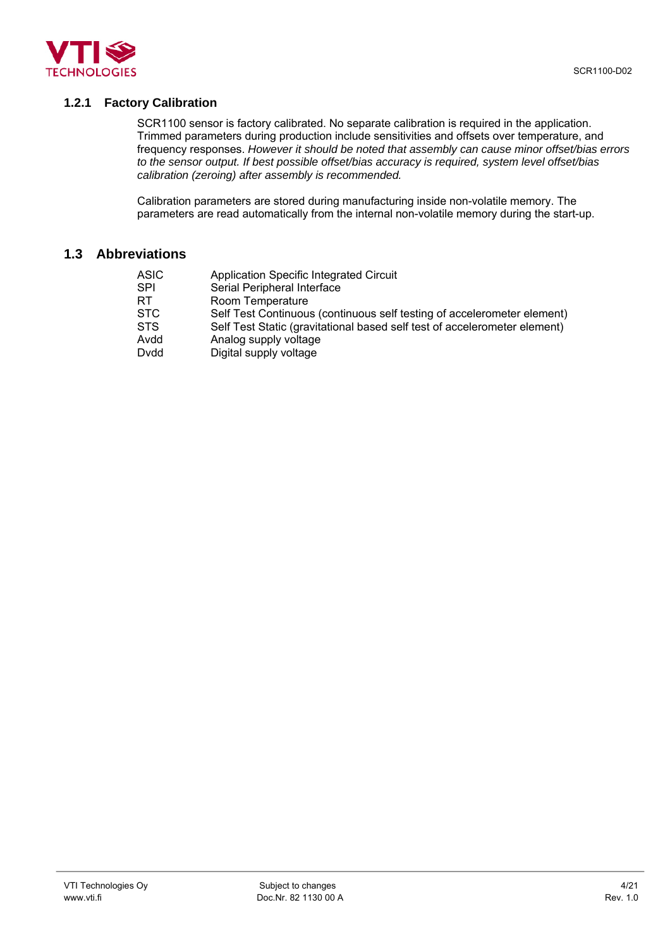<span id="page-3-0"></span>

## **1.2.1 Factory Calibration**

SCR1100 sensor is factory calibrated. No separate calibration is required in the application. Trimmed parameters during production include sensitivities and offsets over temperature, and frequency responses. *However it should be noted that assembly can cause minor offset/bias errors to the sensor output. If best possible offset/bias accuracy is required, system level offset/bias calibration (zeroing) after assembly is recommended.* 

Calibration parameters are stored during manufacturing inside non-volatile memory. The parameters are read automatically from the internal non-volatile memory during the start-up.

# **1.3 Abbreviations**

| <b>ASIC</b> | Application Specific Integrated Circuit                                   |
|-------------|---------------------------------------------------------------------------|
| <b>SPI</b>  | Serial Peripheral Interface                                               |
| RT          | Room Temperature                                                          |
| <b>STC</b>  | Self Test Continuous (continuous self testing of accelerometer element)   |
| <b>STS</b>  | Self Test Static (gravitational based self test of accelerometer element) |
| Avdd        | Analog supply voltage                                                     |
| Dydd        | Digital supply voltage                                                    |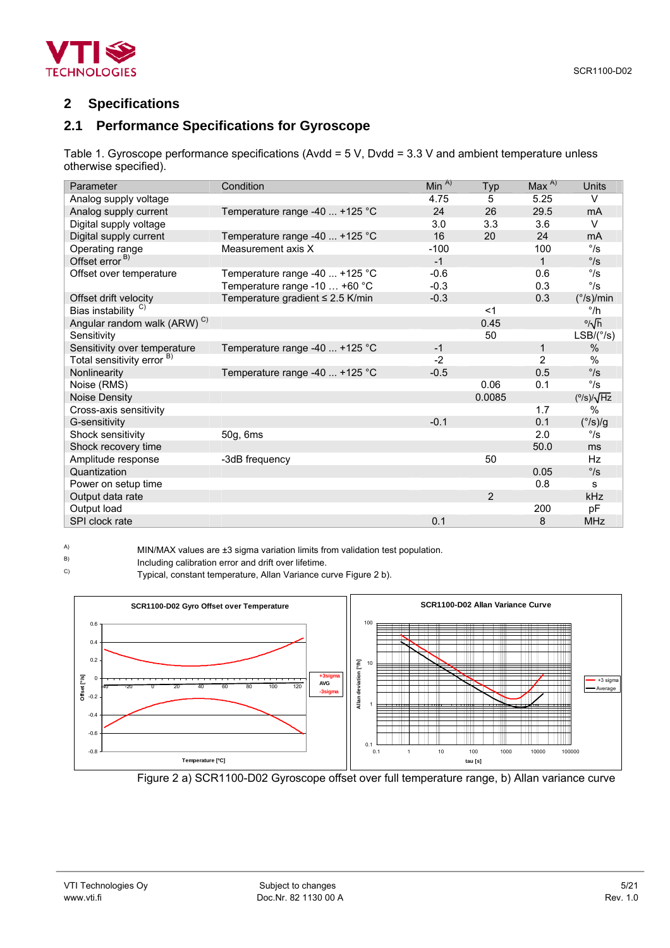<span id="page-4-0"></span>

# **2 Specifications**

# **2.1 Performance Specifications for Gyroscope**

Table 1. Gyroscope performance specifications (Avdd = 5 V, Dvdd = 3.3 V and ambient temperature unless otherwise specified).

| Parameter                               | Condition                             | Min $^{A)}$ | Typ            | $Max^{A}$      | Units                     |
|-----------------------------------------|---------------------------------------|-------------|----------------|----------------|---------------------------|
| Analog supply voltage                   |                                       | 4.75        | 5              | 5.25           | $\vee$                    |
| Analog supply current                   | Temperature range -40  +125 °C        | 24          | 26             | 29.5           | mA                        |
| Digital supply voltage                  |                                       | 3.0         | 3.3            | 3.6            | $\vee$                    |
| Digital supply current                  | Temperature range -40  +125 °C        | 16          | 20             | 24             | mA                        |
| Operating range                         | Measurement axis X                    | $-100$      |                | 100            | $\degree$ /s              |
| Offset error <sup>B)</sup>              |                                       | $-1$        |                | $\mathbf{1}$   | $\degree$ /s              |
| Offset over temperature                 | Temperature range -40  +125 °C        | $-0.6$      |                | 0.6            | $\degree$ /s              |
|                                         | Temperature range -10  +60 °C         | $-0.3$      |                | 0.3            | $^{\circ}/s$              |
| Offset drift velocity                   | Temperature gradient $\leq$ 2.5 K/min | $-0.3$      |                | 0.3            | $(^{\circ}/s)/\text{min}$ |
| Bias instability <sup>C)</sup>          |                                       |             | $<$ 1          |                | $^{\circ}/h$              |
| Angular random walk (ARW) <sup>C)</sup> |                                       |             | 0.45           |                | % $\sqrt{h}$              |
| Sensitivity                             |                                       |             | 50             |                | $LSB/({}^{\circ}/s)$      |
| Sensitivity over temperature            | Temperature range -40  +125 °C        | $-1$        |                | 1              | $\%$                      |
| Total sensitivity error <sup>B)</sup>   |                                       | $-2$        |                | $\overline{2}$ | $\%$                      |
| Nonlinearity                            | Temperature range -40  +125 °C        | $-0.5$      |                | 0.5            | $\degree$ /s              |
| Noise (RMS)                             |                                       |             | 0.06           | 0.1            | $^{\circ}/s$              |
| Noise Density                           |                                       |             | 0.0085         |                | $(^{\circ}/s)/\sqrt{Hz}$  |
| Cross-axis sensitivity                  |                                       |             |                | 1.7            | $\%$                      |
| G-sensitivity                           |                                       | $-0.1$      |                | 0.1            | $(^{\circ}/s)/g$          |
| Shock sensitivity                       | 50g, 6ms                              |             |                | 2.0            | $\degree$ /s              |
| Shock recovery time                     |                                       |             |                | 50.0           | ms                        |
| Amplitude response                      | -3dB frequency                        |             | 50             |                | Hz                        |
| Quantization                            |                                       |             |                | 0.05           | $\degree$ /s              |
| Power on setup time                     |                                       |             |                | 0.8            | s                         |
| Output data rate                        |                                       |             | $\overline{2}$ |                | kHz                       |
| Output load                             |                                       |             |                | 200            | pF                        |
| SPI clock rate                          |                                       | 0.1         |                | 8              | <b>MHz</b>                |

A) MIN/MAX values are  $\pm 3$  sigma variation limits from validation test population.<br>B) locluding calibration error and drift over lifetime

 $B$ ) Including calibration error and drift over lifetime.<br>C) Tunical constant tomografue Allan Variance of

Typical, constant temperature, Allan Variance curve Figure 2 b).



Figure 2 a) SCR1100-D02 Gyroscope offset over full temperature range, b) Allan variance curve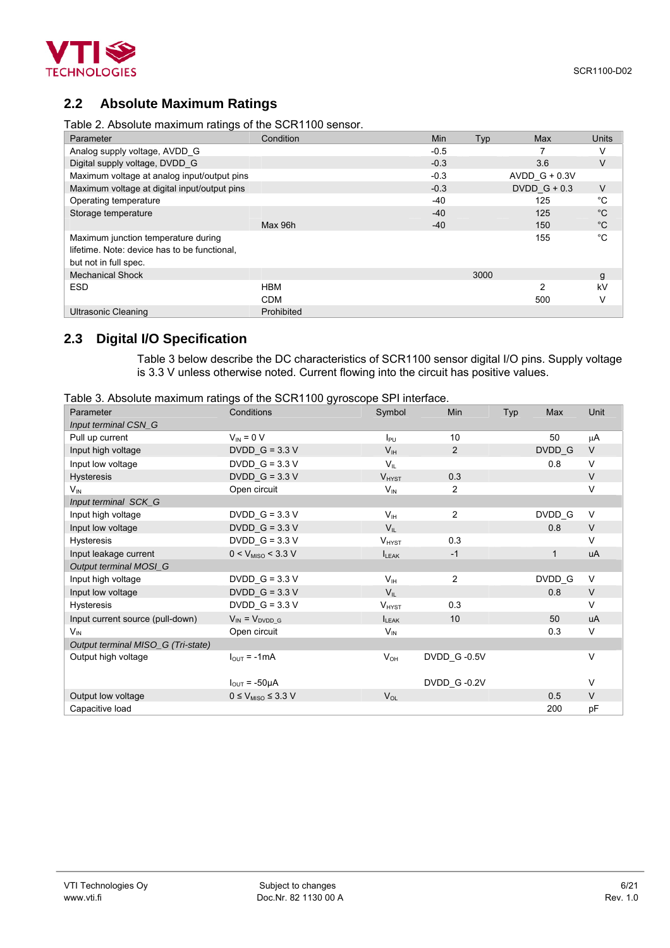<span id="page-5-0"></span>

# **2.2 Absolute Maximum Ratings**

Table 2. Absolute maximum ratings of the SCR1100 sensor.

| Parameter                                                                                                    | Condition  | Min    | Typ  | Max             | <b>Units</b> |
|--------------------------------------------------------------------------------------------------------------|------------|--------|------|-----------------|--------------|
| Analog supply voltage, AVDD G                                                                                |            | $-0.5$ |      |                 | V            |
| Digital supply voltage, DVDD G                                                                               |            | $-0.3$ |      | 3.6             | $\vee$       |
| Maximum voltage at analog input/output pins                                                                  |            | $-0.3$ |      | AVDD $G + 0.3V$ |              |
| Maximum voltage at digital input/output pins                                                                 |            | $-0.3$ |      | DVDD $G + 0.3$  | V            |
| Operating temperature                                                                                        |            | -40    |      | 125             | $^{\circ}$ C |
| Storage temperature                                                                                          |            | $-40$  |      | 125             | $^{\circ}C$  |
|                                                                                                              | Max 96h    | $-40$  |      | 150             | $^{\circ}C$  |
| Maximum junction temperature during<br>lifetime. Note: device has to be functional.<br>but not in full spec. |            |        |      | 155             | $^{\circ}C$  |
| <b>Mechanical Shock</b>                                                                                      |            |        | 3000 |                 | g            |
| <b>ESD</b>                                                                                                   | <b>HBM</b> |        |      | 2               | kV           |
|                                                                                                              | <b>CDM</b> |        |      | 500             | V            |
| <b>Ultrasonic Cleaning</b>                                                                                   | Prohibited |        |      |                 |              |

# **2.3 Digital I/O Specification**

[Table 3](#page-5-1) below describe the DC characteristics of SCR1100 sensor digital I/O pins. Supply voltage is 3.3 V unless otherwise noted. Current flowing into the circuit has positive values.

<span id="page-5-1"></span>Table 3. Absolute maximum ratings of the SCR1100 gyroscope SPI interface.

|                                    |                                 | $\tilde{\phantom{a}}$ |                         |     |              |        |
|------------------------------------|---------------------------------|-----------------------|-------------------------|-----|--------------|--------|
| Parameter                          | Conditions                      | Symbol                | Min                     | Typ | Max          | Unit   |
| Input terminal CSN_G               |                                 |                       |                         |     |              |        |
| Pull up current                    | $V_{IN} = 0 V$                  | $I_{PU}$              | 10                      |     | 50           | μA     |
| Input high voltage                 | DVDD $G = 3.3 V$                | V <sub>IH</sub>       | 2                       |     | DVDD G       | $\vee$ |
| Input low voltage                  | $DVDD_G = 3.3 V$                | $V_{\parallel}$       |                         |     | 0.8          | V      |
| <b>Hysteresis</b>                  | DVDD $G = 3.3 V$                | $V_{HYST}$            | 0.3                     |     |              | $\vee$ |
| $V_{\text{IN}}$                    | Open circuit                    | $V_{IN}$              | 2                       |     |              | $\vee$ |
| Input terminal SCK_G               |                                 |                       |                         |     |              |        |
| Input high voltage                 | $DVDD_G = 3.3 V$                | V <sub>IH</sub>       | 2                       |     | DVDD G       | $\vee$ |
| Input low voltage                  | $DVDD_G = 3.3 V$                | $V_{IL}$              |                         |     | 0.8          | $\vee$ |
| <b>Hysteresis</b>                  | $DVDD_G = 3.3 V$                | $V_{HYST}$            | 0.3                     |     |              | $\vee$ |
| Input leakage current              | $0 < V_{MISO} < 3.3 V$          | $I_{LEAK}$            | $-1$                    |     | $\mathbf{1}$ | uA     |
| Output terminal MOSI_G             |                                 |                       |                         |     |              |        |
| Input high voltage                 | $DVDD_G = 3.3 V$                | V <sub>IH</sub>       | $\overline{\mathbf{c}}$ |     | DVDD_G       | $\vee$ |
| Input low voltage                  | $DVDD_G = 3.3 V$                | $V_{IL}$              |                         |     | 0.8          | $\vee$ |
| <b>Hysteresis</b>                  | $DVDD_G = 3.3 V$                | $V_{HYST}$            | 0.3                     |     |              | $\vee$ |
| Input current source (pull-down)   | $V_{IN} = V_{DVDD}$ G           | $I_{LEAK}$            | 10                      |     | 50           | uA     |
| $V_{\text{IN}}$                    | Open circuit                    | $V_{\text{IN}}$       |                         |     | 0.3          | $\vee$ |
| Output terminal MISO_G (Tri-state) |                                 |                       |                         |     |              |        |
| Output high voltage                | $I_{\text{OUT}} = -1 \text{mA}$ | $V_{OH}$              | DVDD G-0.5V             |     |              | V      |
|                                    |                                 |                       |                         |     |              |        |
|                                    | $I_{\text{OUT}} = -50\mu A$     |                       | DVDD_G-0.2V             |     |              | V      |
| Output low voltage                 | $0 \leq V_{MISO} \leq 3.3 V$    | $V_{OL}$              |                         |     | 0.5          | $\vee$ |
| Capacitive load                    |                                 |                       |                         |     | 200          | pF     |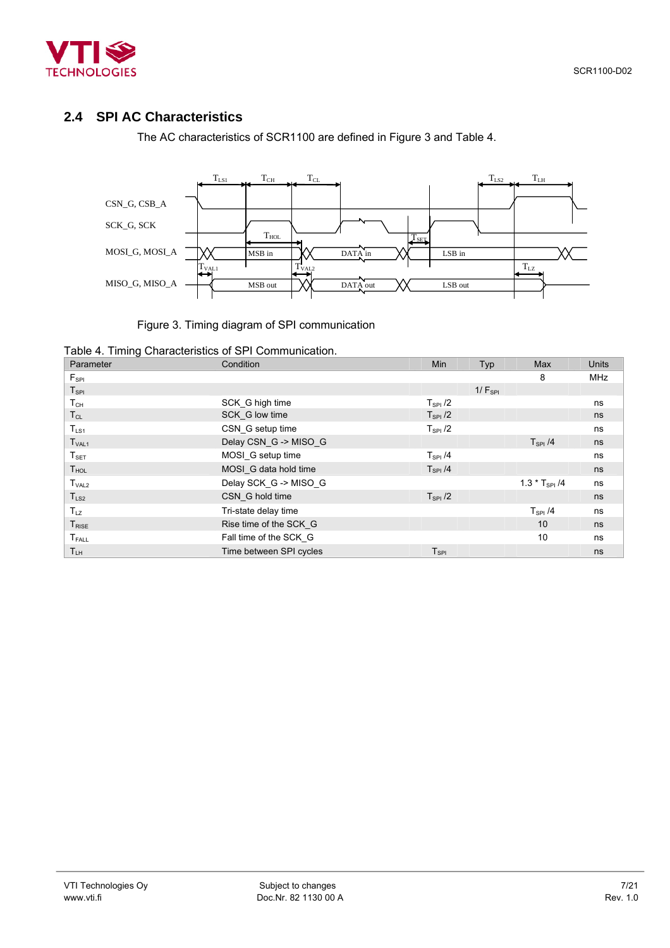<span id="page-6-0"></span>

# **2.4 SPI AC Characteristics**

<span id="page-6-1"></span>The AC characteristics of SCR1100 are defined in [Figure 3](#page-6-1) and [Table 4.](#page-6-2)



## Figure 3. Timing diagram of SPI communication

<span id="page-6-2"></span>

|  |  |  |  | Table 4. Timing Characteristics of SPI Communication. |
|--|--|--|--|-------------------------------------------------------|
|--|--|--|--|-------------------------------------------------------|

| Parameter         | Condition               | <b>Min</b>          | Typ         | Max                | <b>Units</b> |
|-------------------|-------------------------|---------------------|-------------|--------------------|--------------|
| $F_{SPI}$         |                         |                     |             | 8                  | <b>MHz</b>   |
| $T_{\rm SPI}$     |                         |                     | $1/F_{SPI}$ |                    |              |
| $T_{CH}$          | SCK G high time         | $T_{\rm SPI}$ /2    |             |                    | ns           |
| $T_{CL}$          | SCK G low time          | $T_{\rm SPI}$ /2    |             |                    | ns           |
| $T_{LS1}$         | CSN G setup time        | $T_{\rm SPI}$ /2    |             |                    | ns           |
| T <sub>VAL1</sub> | Delay CSN_G -> MISO_G   |                     |             | $T_{\rm SPI}$ /4   | ns           |
| $T_{\tt SET}$     | MOSI_G setup time       | $T_{\rm SPI}$ /4    |             |                    | ns           |
| T <sub>HOL</sub>  | MOSI G data hold time   | $T_{SPI}$ /4        |             |                    | ns           |
| T <sub>VAL2</sub> | Delay SCK_G -> MISO_G   |                     |             | $1.3 * T_{SPI}$ /4 | ns           |
| $T_{LS2}$         | CSN G hold time         | $T_{\rm SPI}$ /2    |             |                    | ns           |
| $T_{LZ}$          | Tri-state delay time    |                     |             | $T_{\rm SPI}$ /4   | ns           |
| T <sub>RISE</sub> | Rise time of the SCK G  |                     |             | 10                 | ns           |
| $T_{FALL}$        | Fall time of the SCK G  |                     |             | 10                 | ns           |
| $T_{LH}$          | Time between SPI cycles | ${\sf T}_{\sf SPI}$ |             |                    | ns           |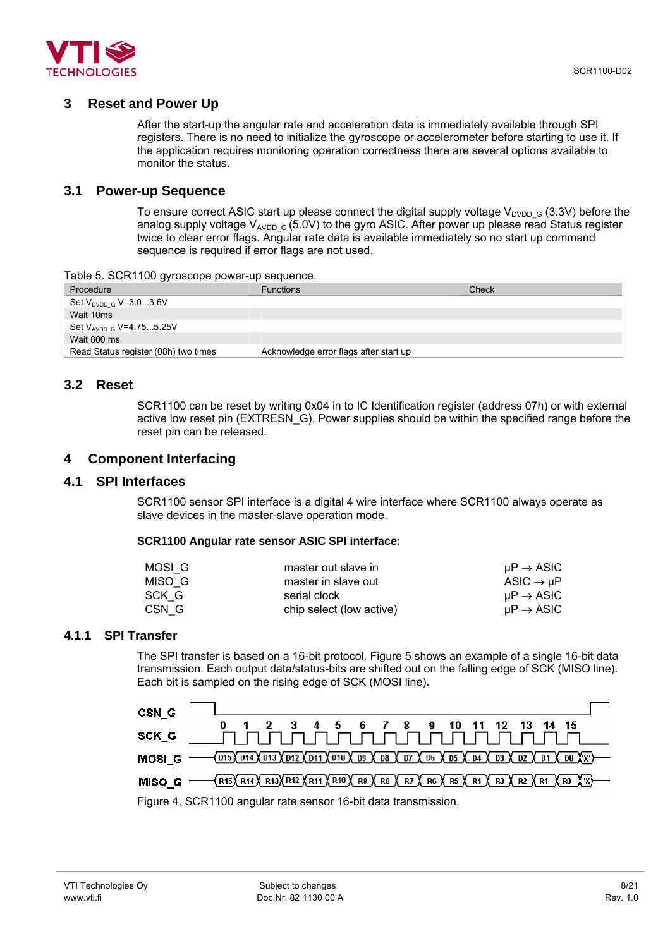<span id="page-7-0"></span>

## **3 Reset and Power Up**

After the start-up the angular rate and acceleration data is immediately available through SPI registers. There is no need to initialize the gyroscope or accelerometer before starting to use it. If the application requires monitoring operation correctness there are several options available to monitor the status.

# **3.1 Power-up Sequence**

To ensure correct ASIC start up please connect the digital supply voltage  $V_{\text{DVDD-G}}$  (3.3V) before the analog supply voltage  $V_{AVDD-G}$  (5.0V) to the gyro ASIC. After power up please read Status register twice to clear error flags. Angular rate data is available immediately so no start up command sequence is required if error flags are not used.

Table 5. SCR1100 gyroscope power-up sequence.

| Procedure                            | <b>Functions</b>                       | Check |
|--------------------------------------|----------------------------------------|-------|
| Set $V_{\text{DVDD G}}$ V=3.03.6V    |                                        |       |
| Wait 10ms                            |                                        |       |
| Set V <sub>AVDD G</sub> V=4.755.25V  |                                        |       |
| Wait 800 ms                          |                                        |       |
| Read Status register (08h) two times | Acknowledge error flags after start up |       |

## **3.2 Reset**

SCR1100 can be reset by writing 0x04 in to IC Identification register (address 07h) or with external active low reset pin (EXTRESN\_G). Power supplies should be within the specified range before the reset pin can be released.

## **4 Component Interfacing**

## **4.1 SPI Interfaces**

SCR1100 sensor SPI interface is a digital 4 wire interface where SCR1100 always operate as slave devices in the master-slave operation mode.

#### **SCR1100 Angular rate sensor ASIC SPI interface:**

| MOSI G | master out slave in      | $\mu$ P $\rightarrow$ ASIC |
|--------|--------------------------|----------------------------|
| MISO G | master in slave out      | ASIC $\rightarrow$ uP      |
| SCK G  | serial clock             | $\mu$ P $\rightarrow$ ASIC |
| CSN G  | chip select (low active) | $\mu$ P $\rightarrow$ ASIC |

#### **4.1.1 SPI Transfer**

The SPI transfer is based on a 16-bit protocol. [Figure 5](#page-7-1) shows an example of a single 16-bit data transmission. Each output data/status-bits are shifted out on the falling edge of SCK (MISO line). Each bit is sampled on the rising edge of SCK (MOSI line).

<span id="page-7-1"></span>

Figure 4. SCR1100 angular rate sensor 16-bit data transmission.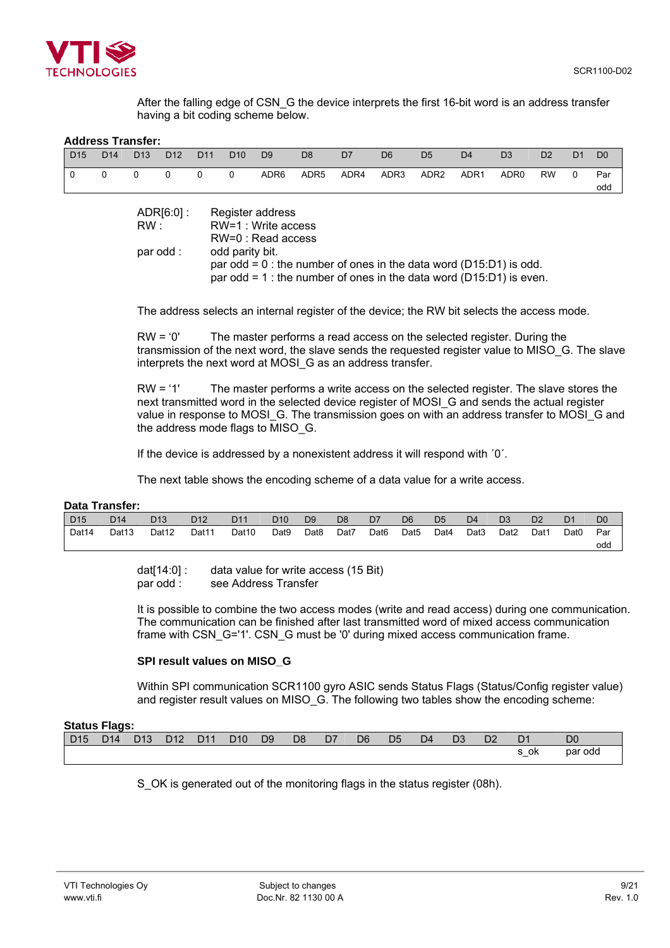

After the falling edge of CSN G the device interprets the first 16-bit word is an address transfer having a bit coding scheme below.

#### **Address Transfer:**

| D <sub>15</sub> | D <sub>14</sub> | D <sub>13</sub> | D <sub>12</sub> | D <sub>11</sub> | D <sub>10</sub> | D <sub>9</sub>   | D <sub>8</sub> | D7   | D <sub>6</sub> | D <sub>5</sub> | D <sub>4</sub> | D <sub>3</sub>   | D <sub>2</sub> | D <sub>1</sub> | D <sub>0</sub> |
|-----------------|-----------------|-----------------|-----------------|-----------------|-----------------|------------------|----------------|------|----------------|----------------|----------------|------------------|----------------|----------------|----------------|
|                 | $\Omega$        | $\Omega$        | $\Omega$        | $\mathbf 0$     | $\Omega$        | ADR6             | ADR5           | ADR4 | ADR3           | ADR2           | ADR1           | ADR <sub>0</sub> | <b>RW</b>      | $\overline{0}$ | Par<br>odd     |
|                 |                 |                 | ADR[6:0] :      |                 |                 | Register address |                |      |                |                |                |                  |                |                |                |

| nogiotor audrooo                                                        |
|-------------------------------------------------------------------------|
| RW=1 : Write access                                                     |
| RW=0 : Read access                                                      |
| odd parity bit.                                                         |
| par odd = $0$ : the number of ones in the data word (D15:D1) is odd.    |
| par odd = 1 : the number of ones in the data word ( $D15:D1$ ) is even. |
|                                                                         |

The address selects an internal register of the device; the RW bit selects the access mode.

RW = '0' The master performs a read access on the selected register. During the transmission of the next word, the slave sends the requested register value to MISO\_G. The slave interprets the next word at MOSI G as an address transfer.

RW = '1' The master performs a write access on the selected register. The slave stores the next transmitted word in the selected device register of MOSI\_G and sends the actual register value in response to MOSI\_G. The transmission goes on with an address transfer to MOSI\_G and the address mode flags to MISO\_G.

If the device is addressed by a nonexistent address it will respond with ´0´.

The next table shows the encoding scheme of a data value for a write access.

#### **Data Transfer:**

| D <sub>15</sub> | D <sub>14</sub>   | D <sub>13</sub>   | D <sub>12</sub> | D <sub>11</sub> | D <sub>10</sub> | D <sub>9</sub>   | D <sub>8</sub> | D7               | D <sub>6</sub>   | D <sub>5</sub> | D <sub>4</sub>   | D <sub>3</sub>   | D <sub>2</sub> | D1               | D <sub>0</sub> |
|-----------------|-------------------|-------------------|-----------------|-----------------|-----------------|------------------|----------------|------------------|------------------|----------------|------------------|------------------|----------------|------------------|----------------|
| Dat14           | Dat <sub>13</sub> | Dat <sub>12</sub> | Dat11           | Dat10           | Dat9            | Dat <sub>8</sub> | Dat7           | Dat <sub>6</sub> | Dat <sub>5</sub> | Dat4           | Dat <sub>3</sub> | Dat <sub>2</sub> | Dat1           | Dat <sub>0</sub> | Par            |
|                 |                   |                   |                 |                 |                 |                  |                |                  |                  |                |                  |                  |                |                  | odd            |

dat[14:0] : data value for write access (15 Bit) par odd : see Address Transfer

It is possible to combine the two access modes (write and read access) during one communication. The communication can be finished after last transmitted word of mixed access communication frame with CSN\_G='1'. CSN\_G must be '0' during mixed access communication frame.

#### **SPI result values on MISO\_G**

Within SPI communication SCR1100 gyro ASIC sends Status Flags (Status/Config register value) and register result values on MISO G. The following two tables show the encoding scheme:

| <b>Status Flags:</b> |                 |                 |     |     |                 |    |    |    |    |                |                |                |                |     |                |
|----------------------|-----------------|-----------------|-----|-----|-----------------|----|----|----|----|----------------|----------------|----------------|----------------|-----|----------------|
| D <sub>15</sub>      | D <sub>14</sub> | D <sub>13</sub> | D12 | D11 | D <sub>10</sub> | D9 | D8 | D7 | D6 | D <sub>5</sub> | D <sub>4</sub> | D <sub>3</sub> | D <sub>2</sub> |     | D <sub>0</sub> |
|                      |                 |                 |     |     |                 |    |    |    |    |                |                |                |                | .ok | par odd        |

S OK is generated out of the monitoring flags in the status register (08h).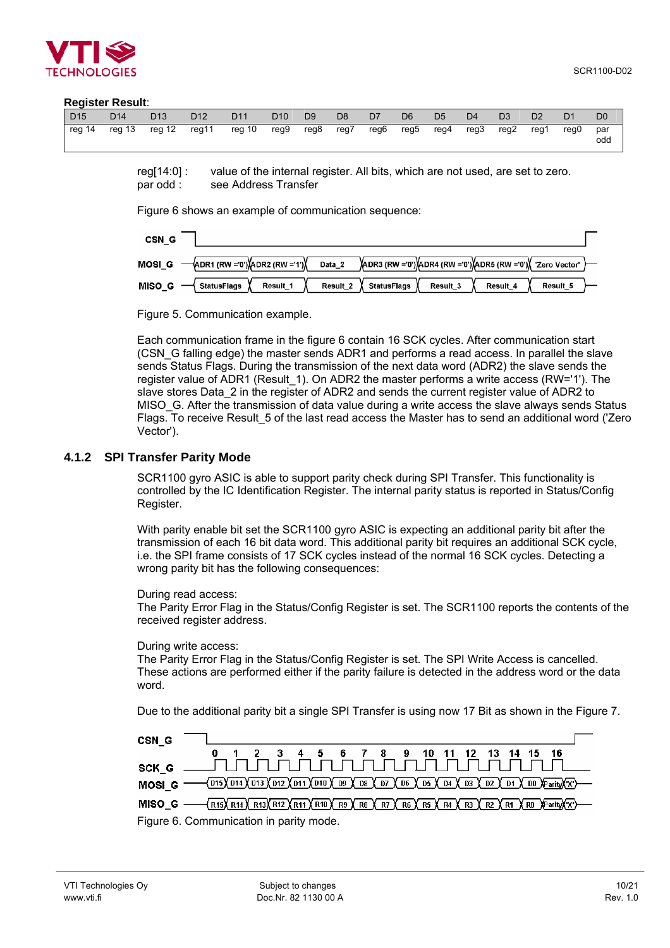<span id="page-9-0"></span>

#### **Register Result**:

| D <sub>15</sub> | D <sub>14</sub>      | D <sub>13</sub> | D <sub>12</sub> | D <sub>11</sub> | D <sub>10</sub> | D <sub>9</sub> | D <sub>8</sub> | D <sub>7</sub> | D <sub>6</sub> | D <sub>5</sub> | D <sub>4</sub> | D <sub>3</sub> | D <sub>2</sub> | D <sub>1</sub> | D <sub>0</sub> |
|-----------------|----------------------|-----------------|-----------------|-----------------|-----------------|----------------|----------------|----------------|----------------|----------------|----------------|----------------|----------------|----------------|----------------|
| reg 14          | reg 13 reg 12 reg 11 |                 |                 | reg 10          | reg9 reg8       |                | reg7           |                | reg6 reg5      | reg4           |                | reg3 reg2      | reg1           | rea0           | par<br>odd     |

reg[14:0] : value of the internal register. All bits, which are not used, are set to zero. par odd : see Address Transfer

[Figure 6](#page-9-1) shows an example of communication sequence:

<span id="page-9-1"></span>

| CSN <sub>G</sub>                                                  |          |                                                                |          |          |          |  |
|-------------------------------------------------------------------|----------|----------------------------------------------------------------|----------|----------|----------|--|
| MOSI G $-\sqrt{APR1}$ (RW = 0') $\sqrt{APR2}$ (RW = 1') $\sqrt{}$ | Data_2   | ADR3 (RW ='0') ADR4 (RW ='0') ADR5 (RW ='0') { 'Zero Vector' } |          |          |          |  |
| Result 1<br><b>StatusFlags</b><br>MISO G                          | Result_2 | StatusFlags                                                    | Result 3 | Result 4 | Result 5 |  |

Figure 5. Communication example.

Each communication frame in the figure 6 contain 16 SCK cycles. After communication start (CSN\_G falling edge) the master sends ADR1 and performs a read access. In parallel the slave sends Status Flags. During the transmission of the next data word (ADR2) the slave sends the register value of ADR1 (Result 1). On ADR2 the master performs a write access (RW='1'). The slave stores Data\_2 in the register of ADR2 and sends the current register value of ADR2 to MISO G. After the transmission of data value during a write access the slave always sends Status Flags. To receive Result\_5 of the last read access the Master has to send an additional word ('Zero Vector').

#### **4.1.2 SPI Transfer Parity Mode**

SCR1100 gyro ASIC is able to support parity check during SPI Transfer. This functionality is controlled by the IC Identification Register. The internal parity status is reported in Status/Config Register.

With parity enable bit set the SCR1100 gyro ASIC is expecting an additional parity bit after the transmission of each 16 bit data word. This additional parity bit requires an additional SCK cycle, i.e. the SPI frame consists of 17 SCK cycles instead of the normal 16 SCK cycles. Detecting a wrong parity bit has the following consequences:

During read access:

The Parity Error Flag in the Status/Config Register is set. The SCR1100 reports the contents of the received register address.

#### During write access:

The Parity Error Flag in the Status/Config Register is set. The SPI Write Access is cancelled. These actions are performed either if the parity failure is detected in the address word or the data word.

Due to the additional parity bit a single SPI Transfer is using now 17 Bit as shown in the [Figure 7.](#page-9-2)

<span id="page-9-2"></span>

| CSN G |                                                                                                                                                                                                                                                                                                                                                                                                                                                                                                              |  |
|-------|--------------------------------------------------------------------------------------------------------------------------------------------------------------------------------------------------------------------------------------------------------------------------------------------------------------------------------------------------------------------------------------------------------------------------------------------------------------------------------------------------------------|--|
|       | 0 1 2 3 4 5 6 7 8 9 10 11 12 13 14 15 16                                                                                                                                                                                                                                                                                                                                                                                                                                                                     |  |
|       |                                                                                                                                                                                                                                                                                                                                                                                                                                                                                                              |  |
|       | MOSI G - 015\014\013\012\011\010\09\08\07\06\07\06\04\03\02\01\00\Parity\T}                                                                                                                                                                                                                                                                                                                                                                                                                                  |  |
|       | MISO_G — $\left(\frac{R}{5}\right)\left(\frac{R}{14}\right)\left(\frac{R}{12}\right)\left(\frac{R}{12}\right)\left(\frac{R}{12}\right)\left(\frac{R}{12}\right)\left(\frac{R}{12}\right)\left(\frac{R}{12}\right)\left(\frac{R}{12}\right)\left(\frac{R}{12}\right)\left(\frac{R}{12}\right)\left(\frac{R}{12}\right)\left(\frac{R}{12}\right)\left(\frac{R}{12}\right)\left(\frac{R}{12}\right)\left(\frac{R}{12}\right)\left(\frac{R}{12}\right)\left(\frac{R}{12}\right)\left(\frac{R}{12}\right)\left(\$ |  |
|       | Figure 6. Communication in parity mode.                                                                                                                                                                                                                                                                                                                                                                                                                                                                      |  |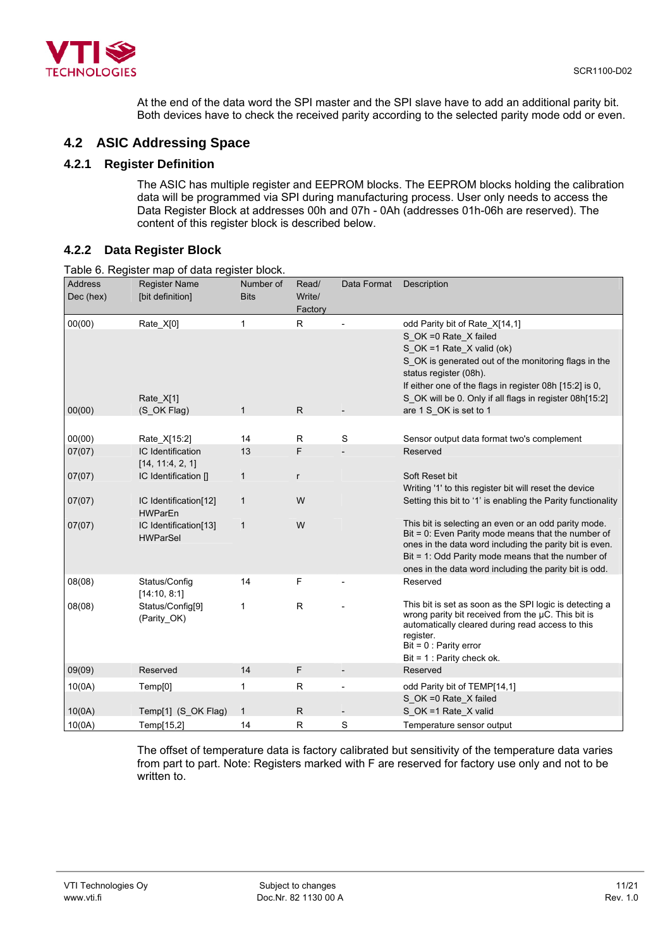<span id="page-10-0"></span>

At the end of the data word the SPI master and the SPI slave have to add an additional parity bit. Both devices have to check the received parity according to the selected parity mode odd or even.

# **4.2 ASIC Addressing Space**

# **4.2.1 Register Definition**

The ASIC has multiple register and EEPROM blocks. The EEPROM blocks holding the calibration data will be programmed via SPI during manufacturing process. User only needs to access the Data Register Block at addresses 00h and 07h - 0Ah (addresses 01h-06h are reserved). The content of this register block is described below.

# **4.2.2 Data Register Block**

|                             | Table 6. Register map of data register block. |                          |                            |             |                                                                                                                                                                                                                                                                                               |
|-----------------------------|-----------------------------------------------|--------------------------|----------------------------|-------------|-----------------------------------------------------------------------------------------------------------------------------------------------------------------------------------------------------------------------------------------------------------------------------------------------|
| <b>Address</b><br>Dec (hex) | <b>Register Name</b><br>[bit definition]      | Number of<br><b>Bits</b> | Read/<br>Write/<br>Factory | Data Format | Description                                                                                                                                                                                                                                                                                   |
| 00(00)                      | Rate_X[0]<br>Rate_X[1]                        | 1                        | $\mathsf{R}$               |             | odd Parity bit of Rate_X[14,1]<br>S OK = 0 Rate X failed<br>S OK =1 Rate X valid (ok)<br>S OK is generated out of the monitoring flags in the<br>status register (08h).<br>If either one of the flags in register 08h [15:2] is 0,<br>S_OK will be 0. Only if all flags in register 08h[15:2] |
| 00(00)                      | (S OK Flag)                                   | 1                        | $\mathsf{R}$               |             | are 1 S OK is set to 1                                                                                                                                                                                                                                                                        |
|                             |                                               |                          |                            |             |                                                                                                                                                                                                                                                                                               |
| 00(00)                      | Rate X[15:2]                                  | 14                       | R                          | S           | Sensor output data format two's complement                                                                                                                                                                                                                                                    |
| 07(07)                      | IC Identification<br>[14, 11:4, 2, 1]         | 13                       | F                          |             | Reserved                                                                                                                                                                                                                                                                                      |
| 07(07)                      | IC Identification []                          | 1                        | r                          |             | Soft Reset bit<br>Writing '1' to this register bit will reset the device                                                                                                                                                                                                                      |
| 07(07)                      | IC Identification[12]<br><b>HWParEn</b>       | 1                        | W                          |             | Setting this bit to '1' is enabling the Parity functionality                                                                                                                                                                                                                                  |
| 07(07)                      | IC Identification[13]<br><b>HWParSel</b>      | $\mathbf{1}$             | W                          |             | This bit is selecting an even or an odd parity mode.<br>Bit = 0: Even Parity mode means that the number of<br>ones in the data word including the parity bit is even.<br>Bit = 1: Odd Parity mode means that the number of<br>ones in the data word including the parity bit is odd.          |
| 08(08)                      | Status/Config<br>[14:10, 8:1]                 | 14                       | F                          |             | Reserved                                                                                                                                                                                                                                                                                      |
| 08(08)                      | Status/Config[9]<br>(Parity_OK)               | 1                        | $\mathsf{R}$               |             | This bit is set as soon as the SPI logic is detecting a<br>wrong parity bit received from the µC. This bit is<br>automatically cleared during read access to this<br>register.<br>$Bit = 0$ : Parity error<br>Bit = $1:$ Parity check ok.                                                     |
| 09(09)                      | Reserved                                      | 14                       | F                          |             | Reserved                                                                                                                                                                                                                                                                                      |
| 10(0A)                      | Temp[0]                                       | $\mathbf{1}$             | $\mathsf{R}$               |             | odd Parity bit of TEMP[14,1]                                                                                                                                                                                                                                                                  |
|                             |                                               |                          |                            |             | S_OK =0 Rate_X failed                                                                                                                                                                                                                                                                         |
| 10(0A)                      | Temp[1] (S_OK Flag)                           | $\mathbf{1}$             | $\mathsf{R}$               |             | S_OK =1 Rate_X valid                                                                                                                                                                                                                                                                          |
| 10(0A)                      | Temp[15,2]                                    | 14                       | R                          | S           | Temperature sensor output                                                                                                                                                                                                                                                                     |

The offset of temperature data is factory calibrated but sensitivity of the temperature data varies from part to part. Note: Registers marked with F are reserved for factory use only and not to be written to.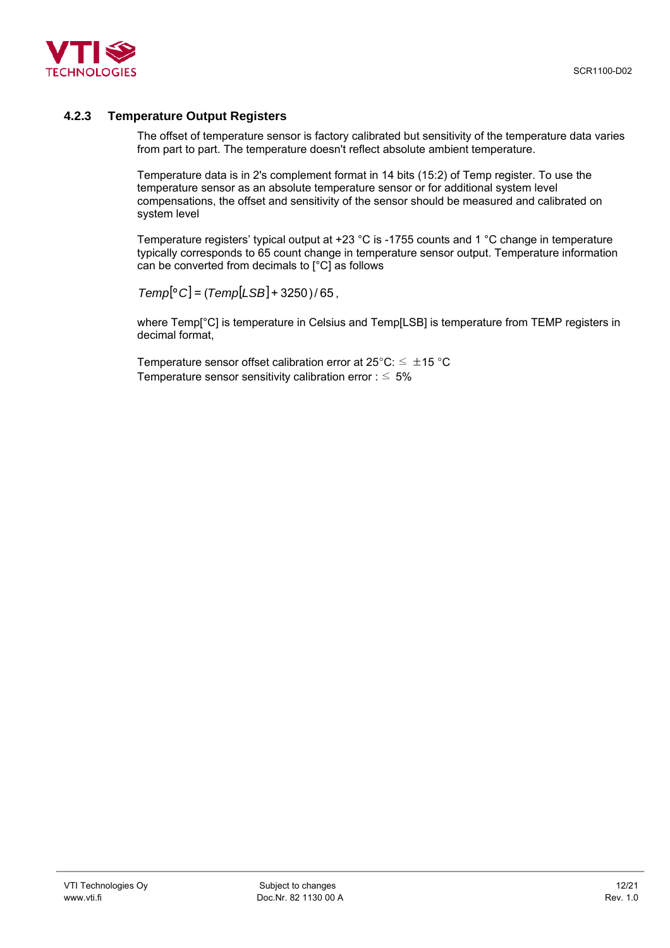<span id="page-11-0"></span>

# **4.2.3 Temperature Output Registers**

The offset of temperature sensor is factory calibrated but sensitivity of the temperature data varies from part to part. The temperature doesn't reflect absolute ambient temperature.

Temperature data is in 2's complement format in 14 bits (15:2) of Temp register. To use the temperature sensor as an absolute temperature sensor or for additional system level compensations, the offset and sensitivity of the sensor should be measured and calibrated on system level

Temperature registers' typical output at +23 °C is -1755 counts and 1 °C change in temperature typically corresponds to 65 count change in temperature sensor output. Temperature information can be converted from decimals to [°C] as follows

 $Temp[°C] = (Temp[LSB] + 3250)/65$ .

where Temp[°C] is temperature in Celsius and Temp[LSB] is temperature from TEMP registers in decimal format,

Temperature sensor offset calibration error at  $25^{\circ}$ C:  $\leq \pm 15^{\circ}$ C Temperature sensor sensitivity calibration error :  $\leq 5\%$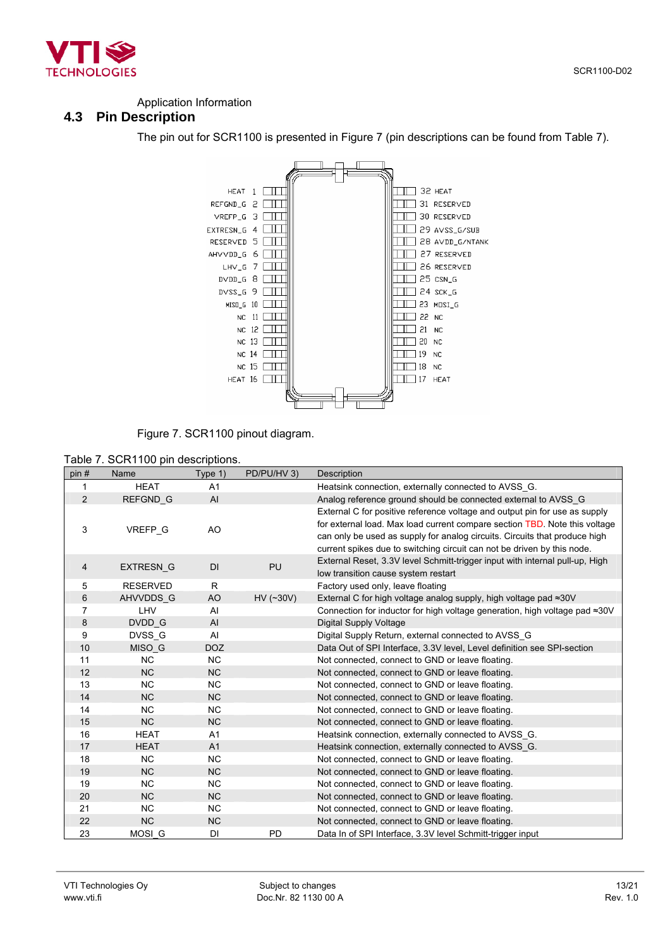<span id="page-12-0"></span>

#### Application Information

## **4.3 Pin Description**

<span id="page-12-1"></span>The pin out for SCR1100 is presented in [Figure 7](#page-12-1) (pin descriptions can be found from [Table 7\)](#page-12-2).



Figure 7. SCR1100 pinout diagram.

<span id="page-12-2"></span>

| Table 7. SCR1100 pin descriptions. |
|------------------------------------|
|------------------------------------|

| pin#           | Name             | Type $1$ )     | PD/PU/HV 3) | Description                                                                                                                                                                                                                                                                                                       |
|----------------|------------------|----------------|-------------|-------------------------------------------------------------------------------------------------------------------------------------------------------------------------------------------------------------------------------------------------------------------------------------------------------------------|
| 1              | <b>HEAT</b>      | A1             |             | Heatsink connection, externally connected to AVSS G.                                                                                                                                                                                                                                                              |
| $\overline{2}$ | <b>REFGND G</b>  | AI             |             | Analog reference ground should be connected external to AVSS G                                                                                                                                                                                                                                                    |
| 3              | VREFP_G          | AO             |             | External C for positive reference voltage and output pin for use as supply<br>for external load. Max load current compare section TBD. Note this voltage<br>can only be used as supply for analog circuits. Circuits that produce high<br>current spikes due to switching circuit can not be driven by this node. |
| 4              | <b>EXTRESN G</b> | <b>DI</b>      | <b>PU</b>   | External Reset, 3.3V level Schmitt-trigger input with internal pull-up, High<br>low transition cause system restart                                                                                                                                                                                               |
| 5              | <b>RESERVED</b>  | R              |             | Factory used only, leave floating                                                                                                                                                                                                                                                                                 |
| 6              | AHVVDDS G        | AO             | $HV$ (~30V) | External C for high voltage analog supply, high voltage pad $\approx 30V$                                                                                                                                                                                                                                         |
| 7              | LHV              | Al             |             | Connection for inductor for high voltage generation, high voltage pad $\approx 30$ V                                                                                                                                                                                                                              |
| 8              | DVDD G           | AI             |             | <b>Digital Supply Voltage</b>                                                                                                                                                                                                                                                                                     |
| 9              | DVSS G           | AI             |             | Digital Supply Return, external connected to AVSS_G                                                                                                                                                                                                                                                               |
| 10             | MISO G           | <b>DOZ</b>     |             | Data Out of SPI Interface, 3.3V level, Level definition see SPI-section                                                                                                                                                                                                                                           |
| 11             | <b>NC</b>        | <b>NC</b>      |             | Not connected, connect to GND or leave floating.                                                                                                                                                                                                                                                                  |
| 12             | <b>NC</b>        | <b>NC</b>      |             | Not connected, connect to GND or leave floating.                                                                                                                                                                                                                                                                  |
| 13             | <b>NC</b>        | <b>NC</b>      |             | Not connected, connect to GND or leave floating.                                                                                                                                                                                                                                                                  |
| 14             | NC               | <b>NC</b>      |             | Not connected, connect to GND or leave floating.                                                                                                                                                                                                                                                                  |
| 14             | <b>NC</b>        | <b>NC</b>      |             | Not connected, connect to GND or leave floating.                                                                                                                                                                                                                                                                  |
| 15             | NC               | <b>NC</b>      |             | Not connected, connect to GND or leave floating.                                                                                                                                                                                                                                                                  |
| 16             | <b>HEAT</b>      | A1             |             | Heatsink connection, externally connected to AVSS G.                                                                                                                                                                                                                                                              |
| 17             | <b>HEAT</b>      | A <sub>1</sub> |             | Heatsink connection, externally connected to AVSS_G.                                                                                                                                                                                                                                                              |
| 18             | <b>NC</b>        | <b>NC</b>      |             | Not connected, connect to GND or leave floating.                                                                                                                                                                                                                                                                  |
| 19             | <b>NC</b>        | <b>NC</b>      |             | Not connected, connect to GND or leave floating.                                                                                                                                                                                                                                                                  |
| 19             | <b>NC</b>        | <b>NC</b>      |             | Not connected, connect to GND or leave floating.                                                                                                                                                                                                                                                                  |
| 20             | <b>NC</b>        | <b>NC</b>      |             | Not connected, connect to GND or leave floating.                                                                                                                                                                                                                                                                  |
| 21             | <b>NC</b>        | <b>NC</b>      |             | Not connected, connect to GND or leave floating.                                                                                                                                                                                                                                                                  |
| 22             | <b>NC</b>        | <b>NC</b>      |             | Not connected, connect to GND or leave floating.                                                                                                                                                                                                                                                                  |
| 23             | MOSI G           | DI             | PD          | Data In of SPI Interface, 3.3V level Schmitt-trigger input                                                                                                                                                                                                                                                        |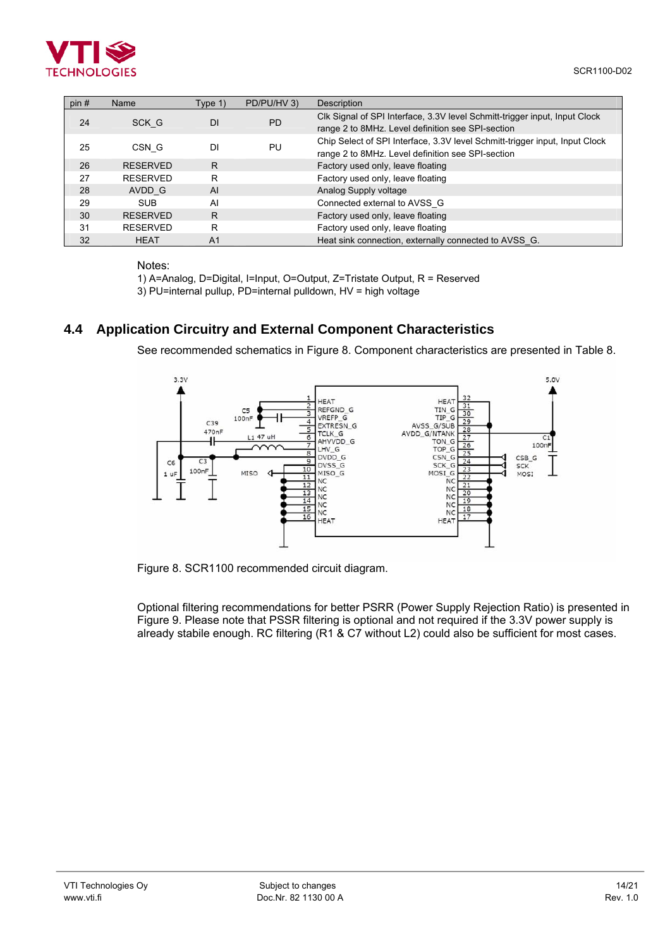<span id="page-13-0"></span>

| pin# | Name            | Type 1)        | PD/PU/HV 3) | Description                                                                                                                      |
|------|-----------------|----------------|-------------|----------------------------------------------------------------------------------------------------------------------------------|
| 24   | SCK G           | <b>DI</b>      | <b>PD</b>   | Clk Signal of SPI Interface, 3.3V level Schmitt-trigger input, Input Clock<br>range 2 to 8MHz. Level definition see SPI-section  |
| 25   | CSN G           | DI             | PU          | Chip Select of SPI Interface, 3.3V level Schmitt-trigger input, Input Clock<br>range 2 to 8MHz. Level definition see SPI-section |
| 26   | <b>RESERVED</b> | R              |             | Factory used only, leave floating                                                                                                |
| 27   | <b>RESERVED</b> | R              |             | Factory used only, leave floating                                                                                                |
| 28   | AVDD G          | AI             |             | Analog Supply voltage                                                                                                            |
| 29   | <b>SUB</b>      | AI             |             | Connected external to AVSS G                                                                                                     |
| 30   | <b>RESERVED</b> | R              |             | Factory used only, leave floating                                                                                                |
| 31   | <b>RESERVED</b> | R              |             | Factory used only, leave floating                                                                                                |
| 32   | <b>HEAT</b>     | A <sub>1</sub> |             | Heat sink connection, externally connected to AVSS G.                                                                            |

Notes:

1) A=Analog, D=Digital, I=Input, O=Output, Z=Tristate Output, R = Reserved 3) PU=internal pullup, PD=internal pulldown, HV = high voltage

# **4.4 Application Circuitry and External Component Characteristics**

See recommended schematics in [Figure 8.](#page-13-1) Component characteristics are presented in [Table 8.](#page-14-1)

<span id="page-13-1"></span>

Figure 8. SCR1100 recommended circuit diagram.

Optional filtering recommendations for better PSRR (Power Supply Rejection Ratio) is presented in [Figure 9.](#page-14-2) Please note that PSSR filtering is optional and not required if the 3.3V power supply is already stabile enough. RC filtering (R1 & C7 without L2) could also be sufficient for most cases.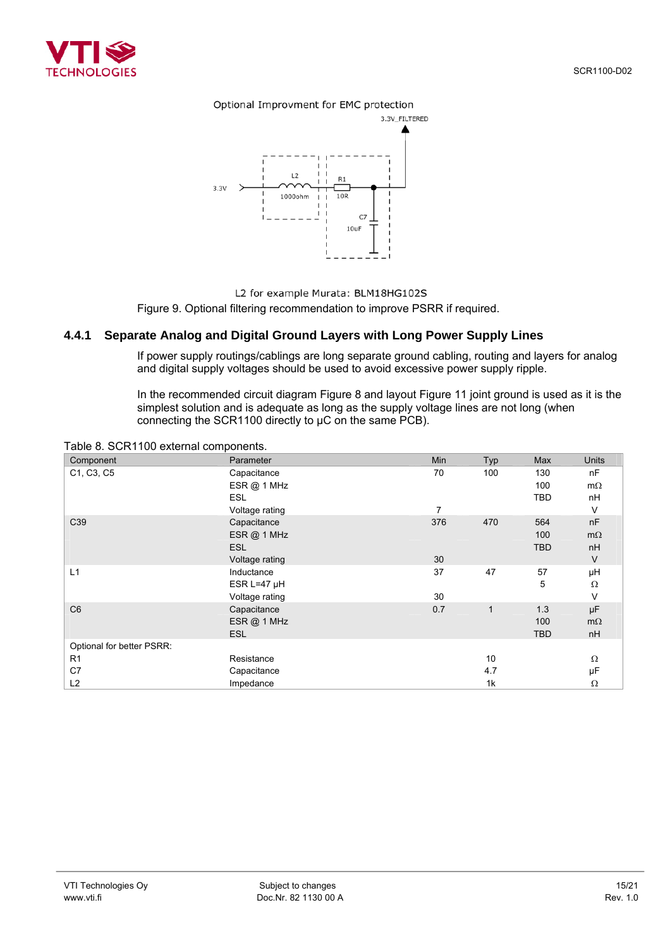<span id="page-14-0"></span>

#### Optional Improvment for EMC protection

<span id="page-14-2"></span>

L2 for example Murata: BLM18HG102S

Figure 9. Optional filtering recommendation to improve PSRR if required.

## **4.4.1 Separate Analog and Digital Ground Layers with Long Power Supply Lines**

If power supply routings/cablings are long separate ground cabling, routing and layers for analog and digital supply voltages should be used to avoid excessive power supply ripple.

In the recommended circuit diagram [Figure 8](#page-13-1) and layout [Figure 11](#page-16-1) joint ground is used as it is the simplest solution and is adequate as long as the supply voltage lines are not long (when connecting the SCR1100 directly to µC on the same PCB).

| Component                 | Parameter        | Min | Typ          | Max        | Units     |
|---------------------------|------------------|-----|--------------|------------|-----------|
| C1, C3, C5                | Capacitance      | 70  | 100          | 130        | nF        |
|                           | ESR@ 1 MHz       |     |              | 100        | $m\Omega$ |
|                           | <b>ESL</b>       |     |              | <b>TBD</b> | nH        |
|                           | Voltage rating   | 7   |              |            | V         |
| C39                       | Capacitance      | 376 | 470          | 564        | nF        |
|                           | ESR @ 1 MHz      |     |              | 100        | $m\Omega$ |
|                           | <b>ESL</b>       |     |              | <b>TBD</b> | nH        |
|                           | Voltage rating   | 30  |              |            | V         |
| L1                        | Inductance       | 37  | 47           | 57         | μH        |
|                           | ESR L=47 $\mu$ H |     |              | 5          | Ω         |
|                           | Voltage rating   | 30  |              |            | V         |
| C <sub>6</sub>            | Capacitance      | 0.7 | $\mathbf{1}$ | 1.3        | μF        |
|                           | ESR @ 1 MHz      |     |              | 100        | $m\Omega$ |
|                           | <b>ESL</b>       |     |              | <b>TBD</b> | nH        |
| Optional for better PSRR: |                  |     |              |            |           |
| R <sub>1</sub>            | Resistance       |     | 10           |            | Ω         |
| C7                        | Capacitance      |     | 4.7          |            | μF        |
| L2                        | Impedance        |     | 1k           |            | $\Omega$  |

<span id="page-14-1"></span>Table 8. SCR1100 external components.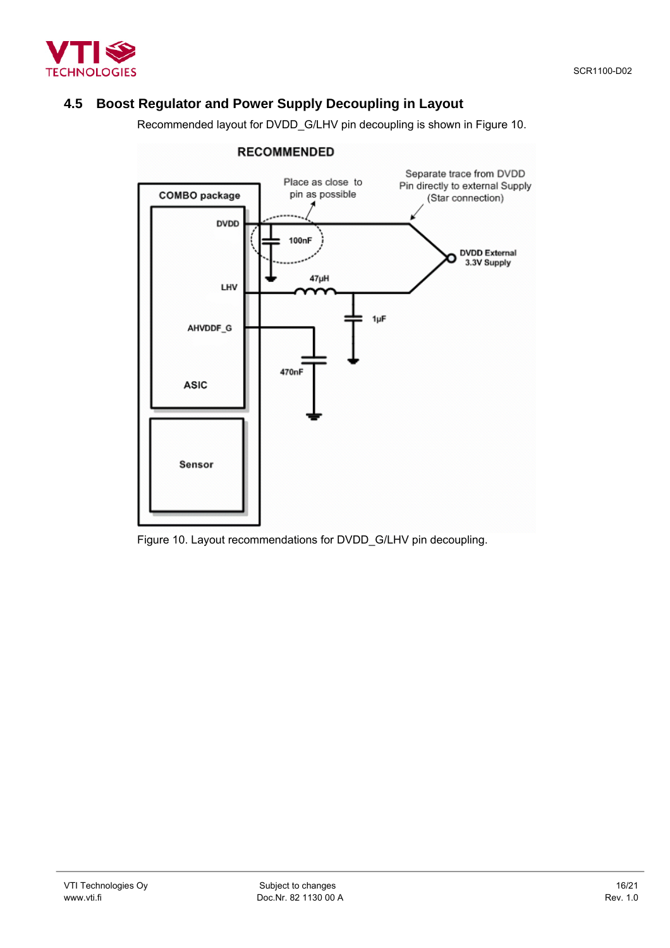<span id="page-15-0"></span>

# **4.5 Boost Regulator and Power Supply Decoupling in Layout**

Recommended layout for DVDD\_G/LHV pin decoupling is shown in [Figure 10.](#page-15-1)

<span id="page-15-1"></span>

## **RECOMMENDED**

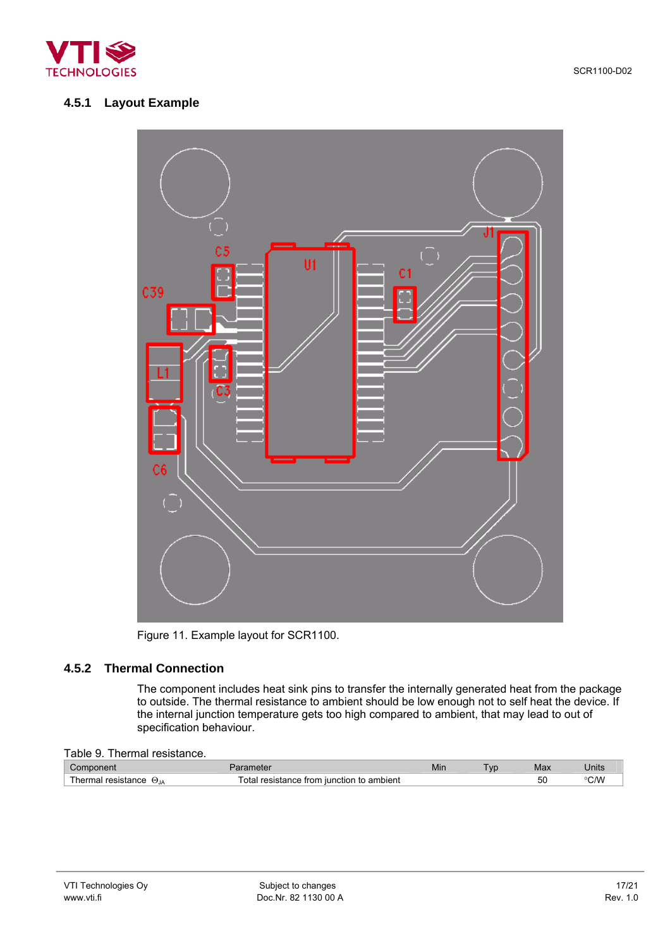<span id="page-16-0"></span>

# **4.5.1 Layout Example**

<span id="page-16-1"></span>

Figure 11. Example layout for SCR1100.

## **4.5.2 Thermal Connection**

The component includes heat sink pins to transfer the internally generated heat from the package to outside. The thermal resistance to ambient should be low enough not to self heat the device. If the internal junction temperature gets too high compared to ambient, that may lead to out of specification behaviour.

| nm.<br>nponent                    | arametei                                             | Min | VD. | Max | Jnits                   |
|-----------------------------------|------------------------------------------------------|-----|-----|-----|-------------------------|
| herma<br>resistance<br>UJA<br>uar | ⊺ota<br>ambient<br>resistance from.<br>i iunction to |     |     | 50  | $\sim$ $\Lambda\Lambda$ |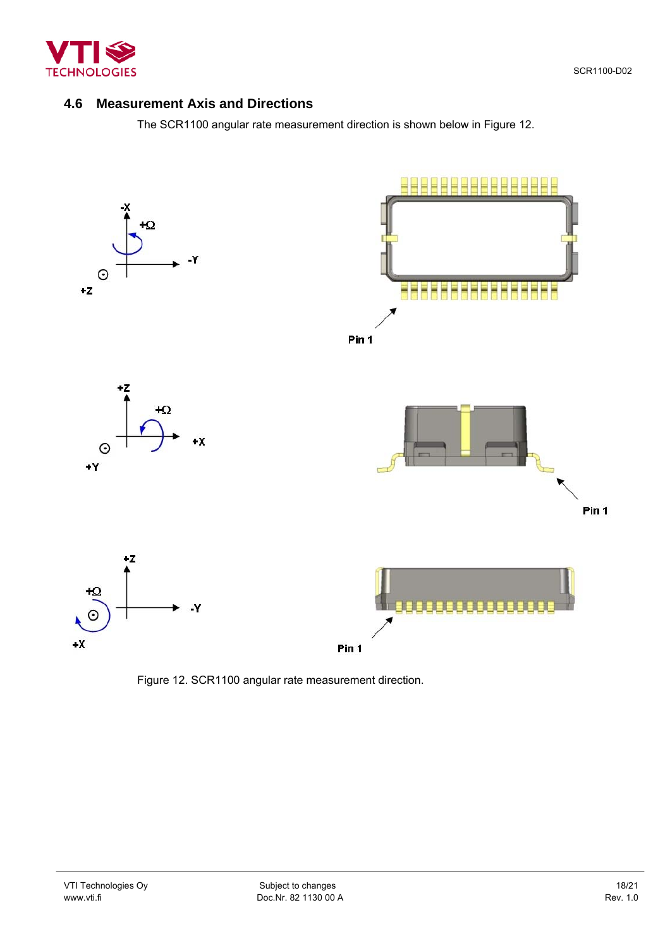

<span id="page-17-0"></span>

# **4.6 Measurement Axis and Directions**

<span id="page-17-1"></span>The SCR1100 angular rate measurement direction is shown below in [Figure 12.](#page-17-1)



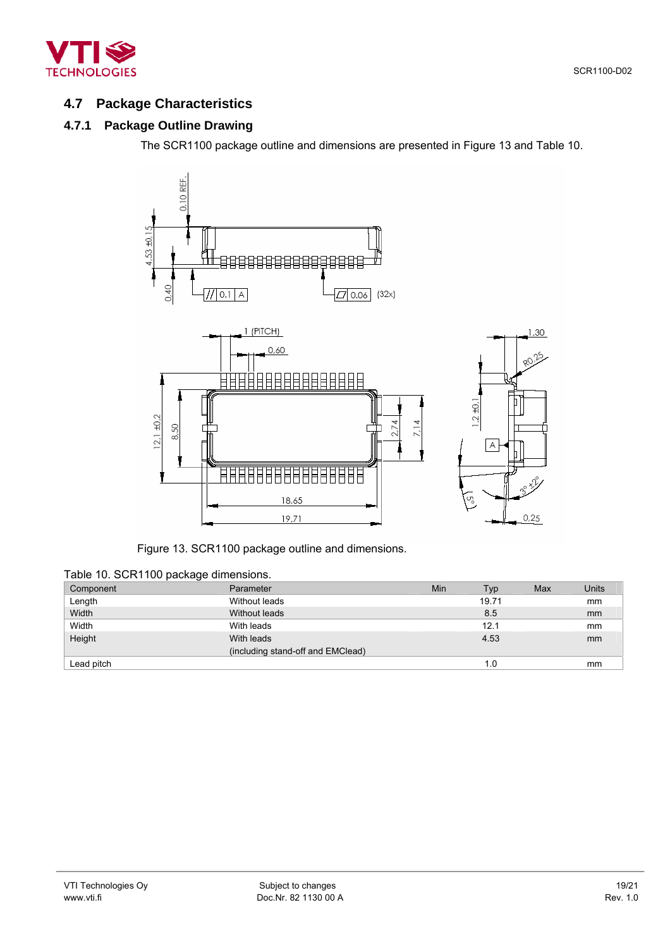<span id="page-18-0"></span>

# **4.7 Package Characteristics**

# **4.7.1 Package Outline Drawing**

The SCR1100 package outline and dimensions are presented in [Figure 13](#page-18-1) and [Table 10.](#page-18-2)

<span id="page-18-1"></span>

Figure 13. SCR1100 package outline and dimensions.

<span id="page-18-2"></span>

| Component  | Parameter                         | Min | Typ   | Max | Units |
|------------|-----------------------------------|-----|-------|-----|-------|
| Length     | Without leads                     |     | 19.71 |     | mm    |
| Width      | Without leads                     |     | 8.5   |     | mm    |
| Width      | With leads                        |     | 12.1  |     | mm    |
| Height     | With leads                        |     | 4.53  |     | mm    |
|            | (including stand-off and EMClead) |     |       |     |       |
| Lead pitch |                                   |     | 1.0   |     | mm    |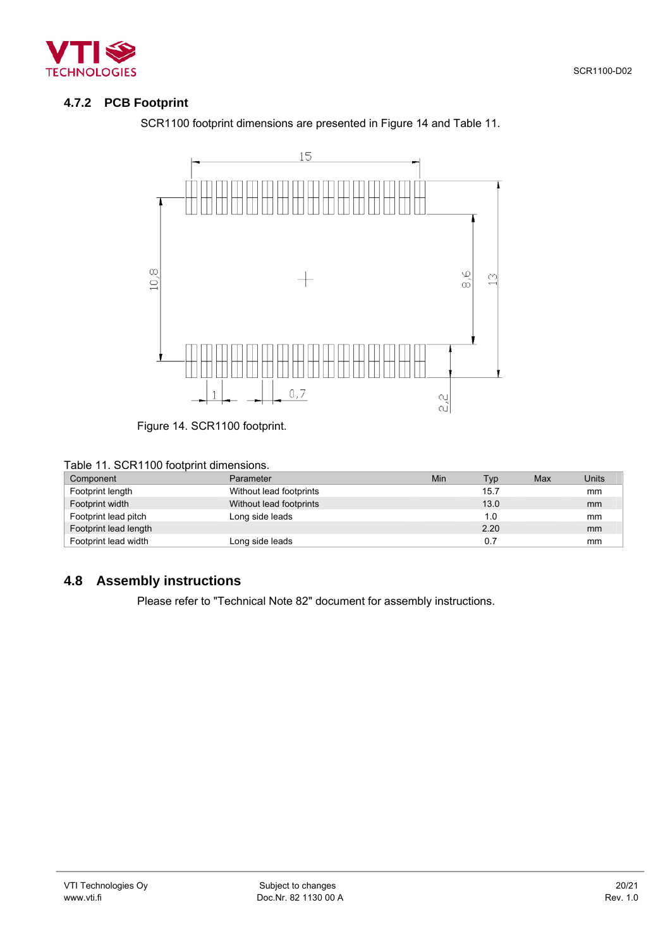<span id="page-19-0"></span>

# **4.7.2 PCB Footprint**

SCR1100 footprint dimensions are presented in [Figure 14](#page-19-1) and [Table 11.](#page-19-2)

<span id="page-19-1"></span>

Figure 14. SCR1100 footprint.

<span id="page-19-2"></span>

| Table 11. SCR1100 footprint dimensions. |  |
|-----------------------------------------|--|
|-----------------------------------------|--|

| Component             | Parameter               | Min | Typ  | Max | Units |
|-----------------------|-------------------------|-----|------|-----|-------|
| Footprint length      | Without lead footprints |     | 15.7 |     | mm    |
| Footprint width       | Without lead footprints |     | 13.0 |     | mm    |
| Footprint lead pitch  | Long side leads         |     | 1.0  |     | mm    |
| Footprint lead length |                         |     | 2.20 |     | mm    |
| Footprint lead width  | Long side leads         |     | 0.7  |     | mm    |

# **4.8 Assembly instructions**

Please refer to "Technical Note 82" document for assembly instructions.